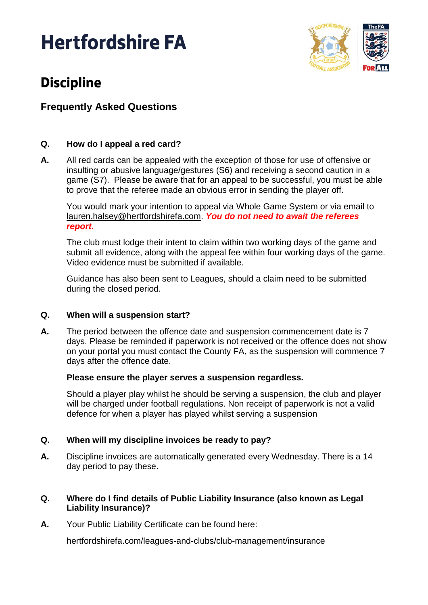# **Hertfordshire FA**



# **Discipline**

# **Frequently Asked Questions**

### **Q. How do I appeal a red card?**

**A.** All red cards can be appealed with the exception of those for use of offensive or insulting or abusive language/gestures (S6) and receiving a second caution in a game (S7). Please be aware that for an appeal to be successful, you must be able to prove that the referee made an obvious error in sending the player off.

You would mark your intention to appeal via Whole Game System or via email to [lauren.halsey@hertfordshirefa.com.](mailto:lauren.halsey@hertfordshirefa.com) *You do not need to await the referees report.*

The club must lodge their intent to claim within two working days of the game and submit all evidence, along with the appeal fee within four working days of the game. Video evidence must be submitted if available.

Guidance has also been sent to Leagues, should a claim need to be submitted during the closed period.

#### **Q. When will a suspension start?**

**A.** The period between the offence date and suspension commencement date is 7 days. Please be reminded if paperwork is not received or the offence does not show on your portal you must contact the County FA, as the suspension will commence 7 days after the offence date.

#### **Please ensure the player serves a suspension regardless.**

Should a player play whilst he should be serving a suspension, the club and player will be charged under football regulations. Non receipt of paperwork is not a valid defence for when a player has played whilst serving a suspension

#### **Q. When will my discipline invoices be ready to pay?**

**A.** Discipline invoices are automatically generated every Wednesday. There is a 14 day period to pay these.

#### **Q. Where do I find details of Public Liability Insurance (also known as Legal Liability Insurance)?**

**A.** Your Public Liability Certificate can be found here:

[hertfordshirefa.com/leagues-and-clubs/club-management/insurance](http://www.hertfordshirefa.com/leagues-and-clubs/club-management/insurance)